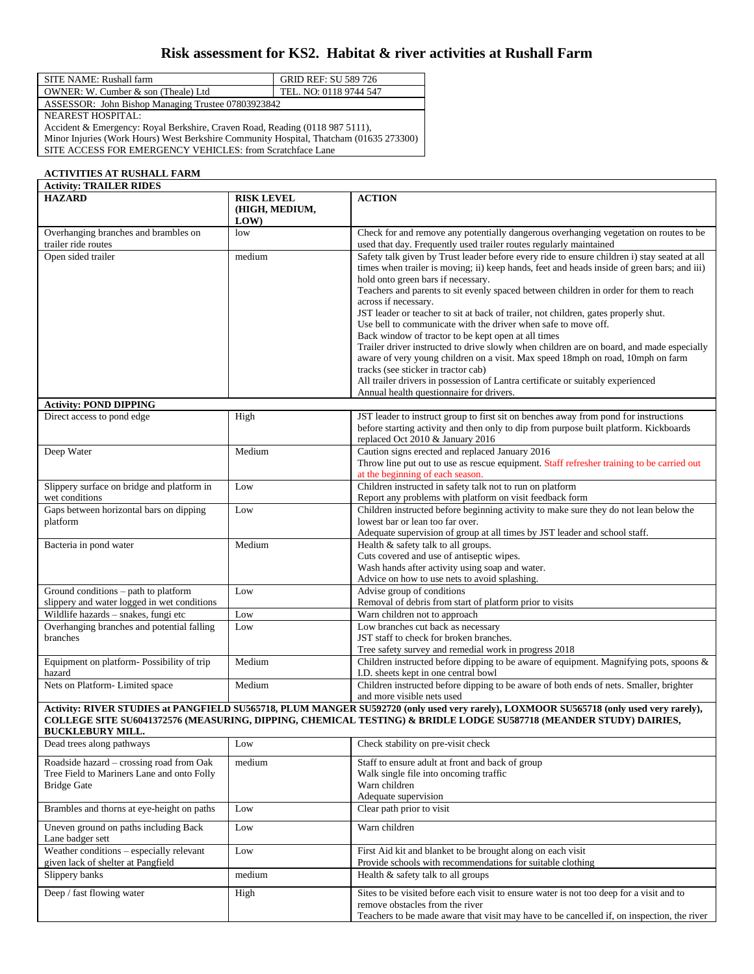## **Risk assessment for KS2. Habitat & river activities at Rushall Farm**

| SITE NAME: Rushall farm                            | GRID REF: SU 589 726   |  |
|----------------------------------------------------|------------------------|--|
| OWNER: W. Cumber & son (Theale) Ltd                | TEL. NO: 0118 9744 547 |  |
| ASSESSOR: John Bishop Managing Trustee 07803923842 |                        |  |
|                                                    |                        |  |

NEAREST HOSPITAL:

Accident & Emergency: Royal Berkshire, Craven Road, Reading (0118 987 5111), Minor Injuries (Work Hours) West Berkshire Community Hospital, Thatcham (01635 273300)

SITE ACCESS FOR EMERGENCY VEHICLES: from Scratchface Lane

| <b>ACTIVITIES AT RUSHALL FARM</b>                                                                            |                                            |                                                                                                                                                                                                                                                                                                                                                                                                                                                                                                                                                                                                                                                                                                                                                                                                                                                                                                                          |  |
|--------------------------------------------------------------------------------------------------------------|--------------------------------------------|--------------------------------------------------------------------------------------------------------------------------------------------------------------------------------------------------------------------------------------------------------------------------------------------------------------------------------------------------------------------------------------------------------------------------------------------------------------------------------------------------------------------------------------------------------------------------------------------------------------------------------------------------------------------------------------------------------------------------------------------------------------------------------------------------------------------------------------------------------------------------------------------------------------------------|--|
| <b>Activity: TRAILER RIDES</b>                                                                               |                                            |                                                                                                                                                                                                                                                                                                                                                                                                                                                                                                                                                                                                                                                                                                                                                                                                                                                                                                                          |  |
| <b>HAZARD</b>                                                                                                | <b>RISK LEVEL</b><br>(HIGH, MEDIUM,<br>LOW | <b>ACTION</b>                                                                                                                                                                                                                                                                                                                                                                                                                                                                                                                                                                                                                                                                                                                                                                                                                                                                                                            |  |
| Overhanging branches and brambles on<br>trailer ride routes                                                  | low                                        | Check for and remove any potentially dangerous overhanging vegetation on routes to be<br>used that day. Frequently used trailer routes regularly maintained                                                                                                                                                                                                                                                                                                                                                                                                                                                                                                                                                                                                                                                                                                                                                              |  |
| Open sided trailer                                                                                           | medium                                     | Safety talk given by Trust leader before every ride to ensure children i) stay seated at all<br>times when trailer is moving; ii) keep hands, feet and heads inside of green bars; and iii)<br>hold onto green bars if necessary.<br>Teachers and parents to sit evenly spaced between children in order for them to reach<br>across if necessary.<br>JST leader or teacher to sit at back of trailer, not children, gates properly shut.<br>Use bell to communicate with the driver when safe to move off.<br>Back window of tractor to be kept open at all times<br>Trailer driver instructed to drive slowly when children are on board, and made especially<br>aware of very young children on a visit. Max speed 18mph on road, 10mph on farm<br>tracks (see sticker in tractor cab)<br>All trailer drivers in possession of Lantra certificate or suitably experienced<br>Annual health questionnaire for drivers. |  |
| <b>Activity: POND DIPPING</b>                                                                                |                                            |                                                                                                                                                                                                                                                                                                                                                                                                                                                                                                                                                                                                                                                                                                                                                                                                                                                                                                                          |  |
| Direct access to pond edge                                                                                   | High                                       | JST leader to instruct group to first sit on benches away from pond for instructions<br>before starting activity and then only to dip from purpose built platform. Kickboards<br>replaced Oct 2010 & January 2016                                                                                                                                                                                                                                                                                                                                                                                                                                                                                                                                                                                                                                                                                                        |  |
| Deep Water                                                                                                   | Medium                                     | Caution signs erected and replaced January 2016<br>Throw line put out to use as rescue equipment. Staff refresher training to be carried out<br>at the beginning of each season.                                                                                                                                                                                                                                                                                                                                                                                                                                                                                                                                                                                                                                                                                                                                         |  |
| Slippery surface on bridge and platform in<br>wet conditions                                                 | Low                                        | Children instructed in safety talk not to run on platform<br>Report any problems with platform on visit feedback form                                                                                                                                                                                                                                                                                                                                                                                                                                                                                                                                                                                                                                                                                                                                                                                                    |  |
| Gaps between horizontal bars on dipping<br>platform                                                          | Low                                        | Children instructed before beginning activity to make sure they do not lean below the<br>lowest bar or lean too far over.<br>Adequate supervision of group at all times by JST leader and school staff.                                                                                                                                                                                                                                                                                                                                                                                                                                                                                                                                                                                                                                                                                                                  |  |
| Bacteria in pond water                                                                                       | Medium                                     | Health & safety talk to all groups.<br>Cuts covered and use of antiseptic wipes.<br>Wash hands after activity using soap and water.<br>Advice on how to use nets to avoid splashing.                                                                                                                                                                                                                                                                                                                                                                                                                                                                                                                                                                                                                                                                                                                                     |  |
| Ground conditions - path to platform<br>slippery and water logged in wet conditions                          | Low                                        | Advise group of conditions<br>Removal of debris from start of platform prior to visits                                                                                                                                                                                                                                                                                                                                                                                                                                                                                                                                                                                                                                                                                                                                                                                                                                   |  |
| Wildlife hazards - snakes, fungi etc                                                                         | Low                                        | Warn children not to approach                                                                                                                                                                                                                                                                                                                                                                                                                                                                                                                                                                                                                                                                                                                                                                                                                                                                                            |  |
| Overhanging branches and potential falling<br>branches                                                       | Low                                        | Low branches cut back as necessary<br>JST staff to check for broken branches.<br>Tree safety survey and remedial work in progress 2018                                                                                                                                                                                                                                                                                                                                                                                                                                                                                                                                                                                                                                                                                                                                                                                   |  |
| Equipment on platform-Possibility of trip<br>hazard                                                          | Medium                                     | Children instructed before dipping to be aware of equipment. Magnifying pots, spoons &<br>I.D. sheets kept in one central bowl                                                                                                                                                                                                                                                                                                                                                                                                                                                                                                                                                                                                                                                                                                                                                                                           |  |
| Nets on Platform-Limited space                                                                               | Medium                                     | Children instructed before dipping to be aware of both ends of nets. Smaller, brighter<br>and more visible nets used                                                                                                                                                                                                                                                                                                                                                                                                                                                                                                                                                                                                                                                                                                                                                                                                     |  |
| <b>BUCKLEBURY MILL.</b>                                                                                      |                                            | Activity: RIVER STUDIES at PANGFIELD SU565718, PLUM MANGER SU592720 (only used very rarely), LOXMOOR SU565718 (only used very rarely),<br>COLLEGE SITE SU6041372576 (MEASURING, DIPPING, CHEMICAL TESTING) & BRIDLE LODGE SU587718 (MEANDER STUDY) DAIRIES,                                                                                                                                                                                                                                                                                                                                                                                                                                                                                                                                                                                                                                                              |  |
| Dead trees along pathways                                                                                    | Low                                        | Check stability on pre-visit check                                                                                                                                                                                                                                                                                                                                                                                                                                                                                                                                                                                                                                                                                                                                                                                                                                                                                       |  |
| Roadside hazard - crossing road from Oak<br>Tree Field to Mariners Lane and onto Folly<br><b>Bridge Gate</b> | medium                                     | Staff to ensure adult at front and back of group<br>Walk single file into oncoming traffic<br>Warn children<br>Adequate supervision                                                                                                                                                                                                                                                                                                                                                                                                                                                                                                                                                                                                                                                                                                                                                                                      |  |
| Brambles and thorns at eye-height on paths                                                                   | Low                                        | Clear path prior to visit                                                                                                                                                                                                                                                                                                                                                                                                                                                                                                                                                                                                                                                                                                                                                                                                                                                                                                |  |
| Uneven ground on paths including Back<br>Lane badger sett                                                    | Low                                        | Warn children                                                                                                                                                                                                                                                                                                                                                                                                                                                                                                                                                                                                                                                                                                                                                                                                                                                                                                            |  |
| Weather conditions - especially relevant<br>given lack of shelter at Pangfield                               | Low                                        | First Aid kit and blanket to be brought along on each visit<br>Provide schools with recommendations for suitable clothing                                                                                                                                                                                                                                                                                                                                                                                                                                                                                                                                                                                                                                                                                                                                                                                                |  |
| Slippery banks                                                                                               | medium                                     | Health & safety talk to all groups                                                                                                                                                                                                                                                                                                                                                                                                                                                                                                                                                                                                                                                                                                                                                                                                                                                                                       |  |
| Deep / fast flowing water                                                                                    | High                                       | Sites to be visited before each visit to ensure water is not too deep for a visit and to<br>remove obstacles from the river                                                                                                                                                                                                                                                                                                                                                                                                                                                                                                                                                                                                                                                                                                                                                                                              |  |

Teachers to be made aware that visit may have to be cancelled if, on inspection, the river